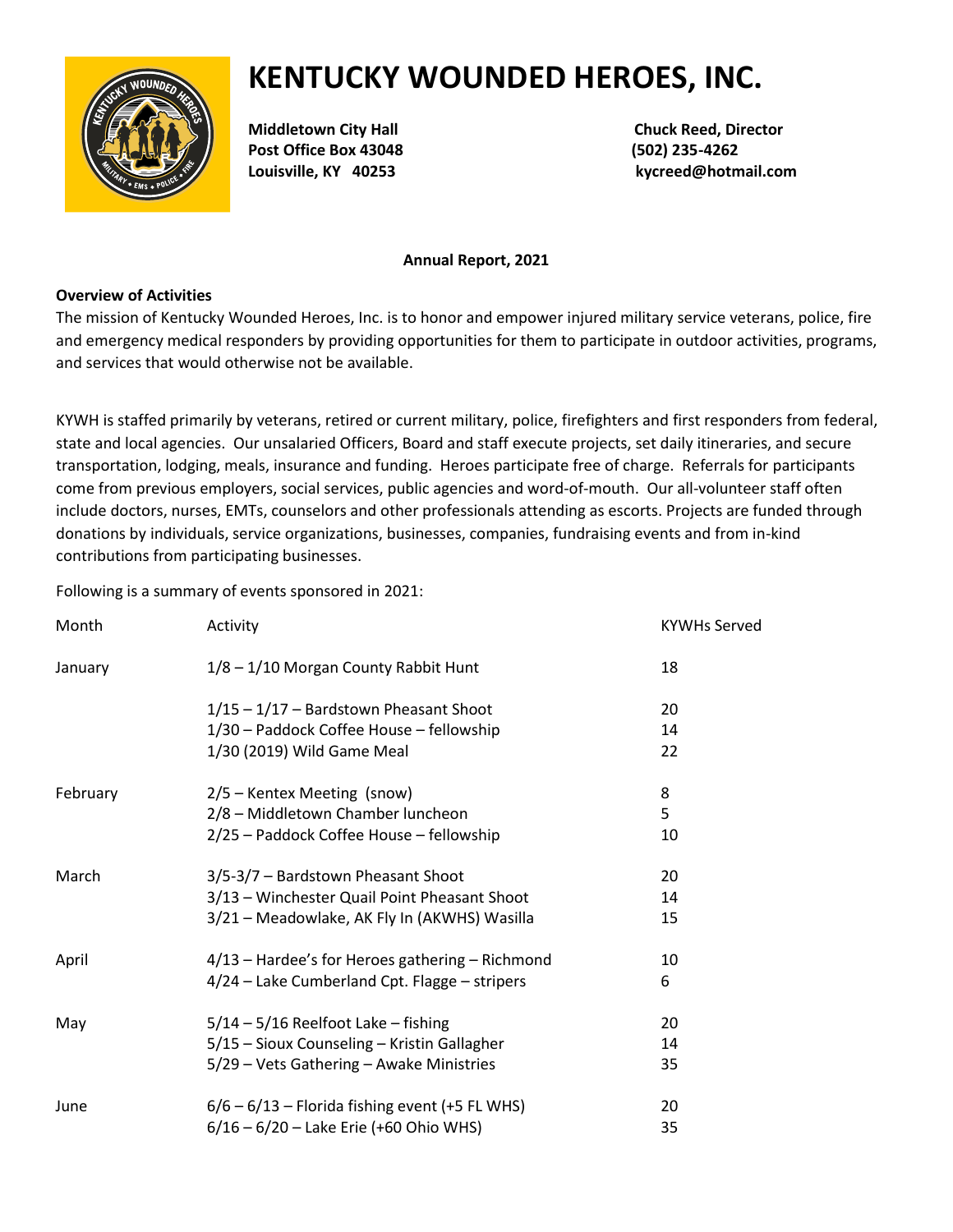# **KENTUCKY WOUNDED HEROES, INC.**



**Post Office Box 43048 (502) 235-4262**

**Middletown City Hall Chuck Reed, Director Louisville, KY 40253 kycreed@hotmail.com**

#### **Annual Report, 2021**

## **Overview of Activities**

The mission of Kentucky Wounded Heroes, Inc. is to honor and empower injured military service veterans, police, fire and emergency medical responders by providing opportunities for them to participate in outdoor activities, programs, and services that would otherwise not be available.

KYWH is staffed primarily by veterans, retired or current military, police, firefighters and first responders from federal, state and local agencies. Our unsalaried Officers, Board and staff execute projects, set daily itineraries, and secure transportation, lodging, meals, insurance and funding. Heroes participate free of charge. Referrals for participants come from previous employers, social services, public agencies and word-of-mouth. Our all-volunteer staff often include doctors, nurses, EMTs, counselors and other professionals attending as escorts. Projects are funded through donations by individuals, service organizations, businesses, companies, fundraising events and from in-kind contributions from participating businesses.

Following is a summary of events sponsored in 2021:

| Month    | Activity                                         | <b>KYWHs Served</b> |
|----------|--------------------------------------------------|---------------------|
| January  | 1/8 - 1/10 Morgan County Rabbit Hunt             | 18                  |
|          | $1/15 - 1/17$ - Bardstown Pheasant Shoot         | 20                  |
|          | 1/30 - Paddock Coffee House - fellowship         | 14                  |
|          | 1/30 (2019) Wild Game Meal                       | 22                  |
| February | 2/5 - Kentex Meeting (snow)                      | 8                   |
|          | 2/8 - Middletown Chamber luncheon                | 5                   |
|          | 2/25 - Paddock Coffee House - fellowship         | 10                  |
| March    | 3/5-3/7 - Bardstown Pheasant Shoot               | 20                  |
|          | 3/13 - Winchester Quail Point Pheasant Shoot     | 14                  |
|          | 3/21 - Meadowlake, AK Fly In (AKWHS) Wasilla     | 15                  |
| April    | 4/13 - Hardee's for Heroes gathering - Richmond  | 10                  |
|          | 4/24 - Lake Cumberland Cpt. Flagge - stripers    | 6                   |
| May      | $5/14 - 5/16$ Reelfoot Lake - fishing            | 20                  |
|          | 5/15 - Sioux Counseling - Kristin Gallagher      | 14                  |
|          | 5/29 - Vets Gathering - Awake Ministries         | 35                  |
| June     | $6/6 - 6/13$ – Florida fishing event (+5 FL WHS) | 20                  |
|          | $6/16 - 6/20 -$ Lake Erie (+60 Ohio WHS)         | 35                  |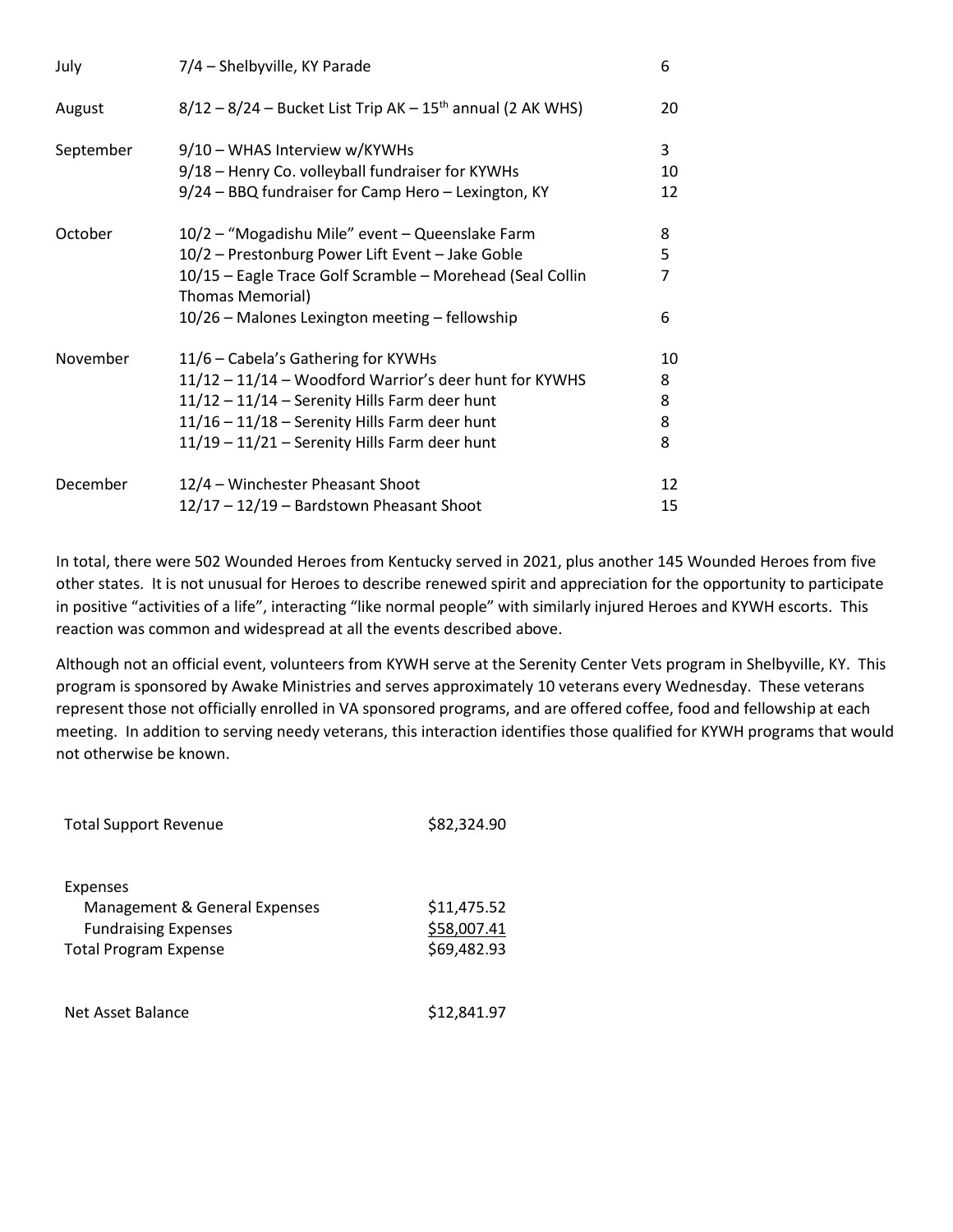| July      | 7/4 - Shelbyville, KY Parade                                                                                                                                                                                                                     | 6                      |
|-----------|--------------------------------------------------------------------------------------------------------------------------------------------------------------------------------------------------------------------------------------------------|------------------------|
| August    | $8/12 - 8/24$ – Bucket List Trip AK – 15 <sup>th</sup> annual (2 AK WHS)                                                                                                                                                                         | 20                     |
| September | 9/10 - WHAS Interview w/KYWHs<br>9/18 - Henry Co. volleyball fundraiser for KYWHs<br>9/24 - BBQ fundraiser for Camp Hero - Lexington, KY                                                                                                         | 3<br>10<br>12          |
| October   | 10/2 - "Mogadishu Mile" event - Queenslake Farm<br>10/2 - Prestonburg Power Lift Event - Jake Goble<br>10/15 - Eagle Trace Golf Scramble - Morehead (Seal Collin<br><b>Thomas Memorial)</b><br>10/26 - Malones Lexington meeting - fellowship    | 8<br>5<br>7<br>6       |
| November  | 11/6 - Cabela's Gathering for KYWHs<br>11/12 - 11/14 - Woodford Warrior's deer hunt for KYWHS<br>11/12 - 11/14 - Serenity Hills Farm deer hunt<br>11/16 - 11/18 - Serenity Hills Farm deer hunt<br>11/19 - 11/21 - Serenity Hills Farm deer hunt | 10<br>8<br>8<br>8<br>8 |
| December  | 12/4 - Winchester Pheasant Shoot<br>12/17 - 12/19 - Bardstown Pheasant Shoot                                                                                                                                                                     | 12<br>15               |

In total, there were 502 Wounded Heroes from Kentucky served in 2021, plus another 145 Wounded Heroes from five other states. It is not unusual for Heroes to describe renewed spirit and appreciation for the opportunity to participate in positive "activities of a life", interacting "like normal people" with similarly injured Heroes and KYWH escorts. This reaction was common and widespread at all the events described above.

Although not an official event, volunteers from KYWH serve at the Serenity Center Vets program in Shelbyville, KY. This program is sponsored by Awake Ministries and serves approximately 10 veterans every Wednesday. These veterans represent those not officially enrolled in VA sponsored programs, and are offered coffee, food and fellowship at each meeting. In addition to serving needy veterans, this interaction identifies those qualified for KYWH programs that would not otherwise be known.

| <b>Total Support Revenue</b>                                                                             | \$82,324.90                               |
|----------------------------------------------------------------------------------------------------------|-------------------------------------------|
| Expenses<br>Management & General Expenses<br><b>Fundraising Expenses</b><br><b>Total Program Expense</b> | \$11,475.52<br>\$58,007.41<br>\$69,482.93 |
| Net Asset Balance                                                                                        | \$12.841.97                               |